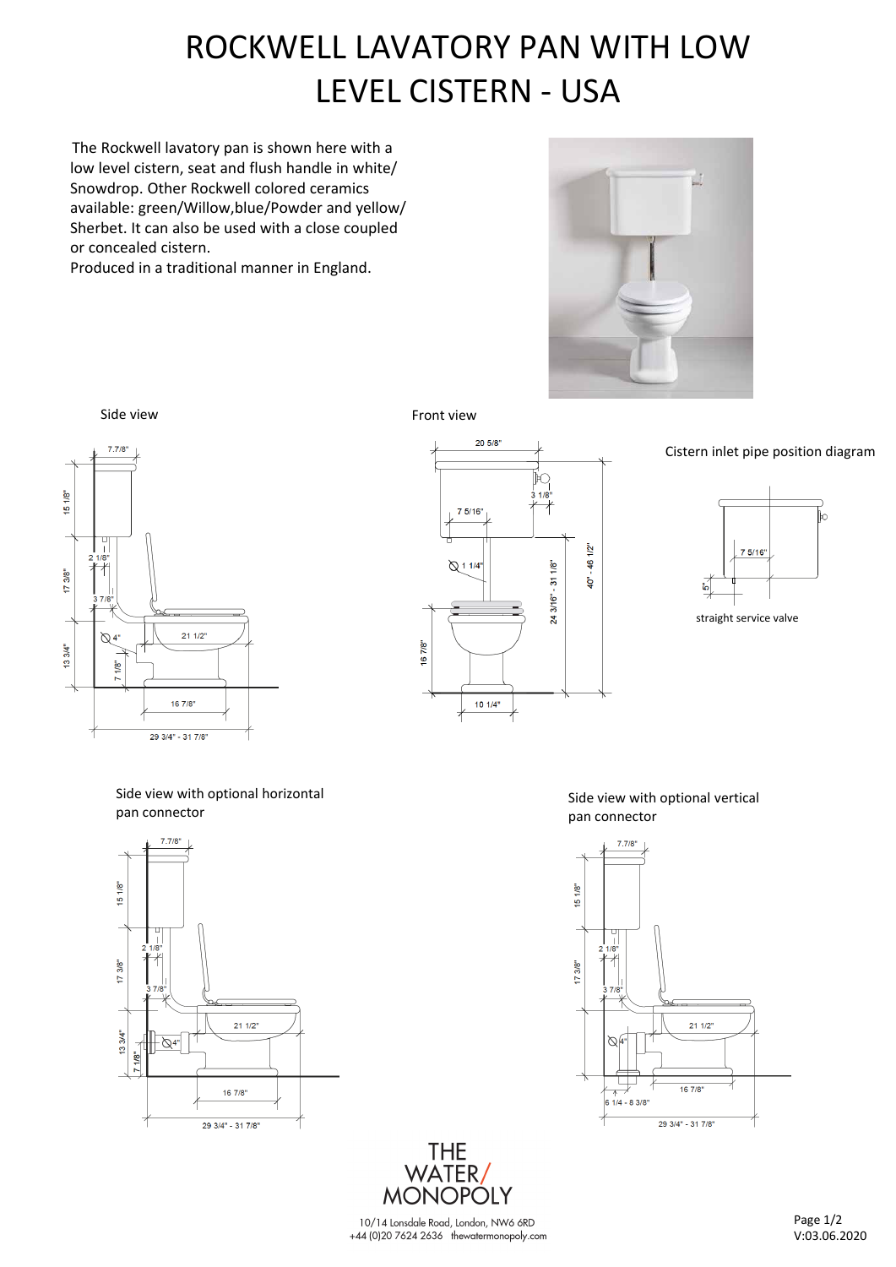# ROCKWELL LAVATORY PAN WITH LOW LEVEL CISTERN

The Rockwell lavatory pan is shown here with a low level cistern, seat and flush handle in white/ Snowdrop. Other Rockwell colored ceramics available: green/Willow,blue/Powder and yellow/ Sherbet. It can also be used with a close coupled or concealed cistern.

Produced in a traditional manner in England.







Cistern inlet pipe position diagram



supplied with a e t service valve

Side view with optional horizontal pan connector



Side view with optional vertical pan connector



10/14 Lonsdale Road, London, NW6 6RD +44 (0)20 7624 2636 thewatermonopoly.com

THE<br>/WATER<br>/MONOPOLY